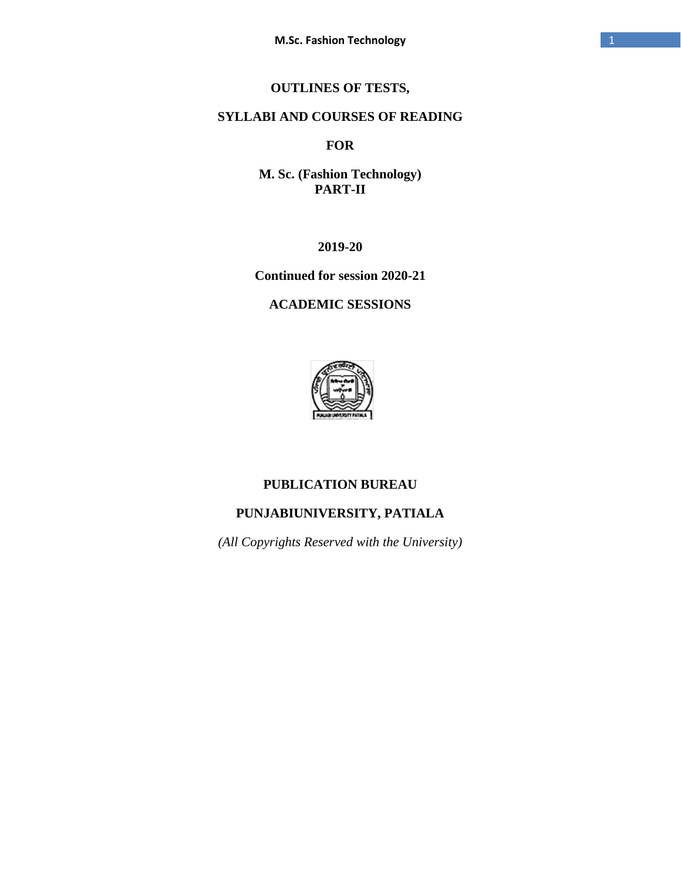# **OUTLINES OF TESTS,**

## **SYLLABI AND COURSES OF READING**

## **FOR**

**M. Sc. (Fashion Technology) PART-II**

**2019-20**

**Continued for session 2020-21**

## **ACADEMIC SESSIONS**



## **PUBLICATION BUREAU**

# **PUNJABIUNIVERSITY, PATIALA**

*(All Copyrights Reserved with the University)*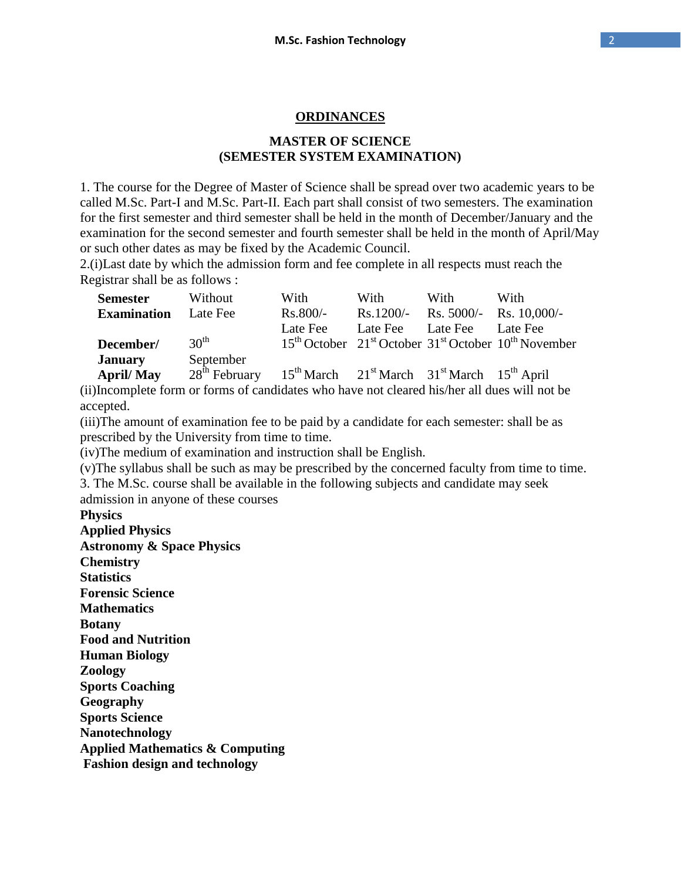#### **ORDINANCES**

## **MASTER OF SCIENCE (SEMESTER SYSTEM EXAMINATION)**

1. The course for the Degree of Master of Science shall be spread over two academic years to be called M.Sc. Part-I and M.Sc. Part-II. Each part shall consist of two semesters. The examination for the first semester and third semester shall be held in the month of December/January and the examination for the second semester and fourth semester shall be held in the month of April/May or such other dates as may be fixed by the Academic Council.

2.(i)Last date by which the admission form and fee complete in all respects must reach the Registrar shall be as follows :

| <b>Semester</b>                    | Without                                                                          | With       | With                       | With | With                                                         |
|------------------------------------|----------------------------------------------------------------------------------|------------|----------------------------|------|--------------------------------------------------------------|
| <b>Examination</b>                 | Late Fee                                                                         | $Rs.800/-$ |                            |      | Rs.1200/- Rs. 5000/- Rs. 10,000/-                            |
| December/                          | $30^{\text{th}}$                                                                 | Late Fee   | Late Fee Late Fee Late Fee |      | $15th$ October $21st$ October $31st$ October $10th$ November |
| <b>January</b><br><b>April/May</b> | September<br>$28th$ February $15th$ March $21st$ March $31st$ March $15th$ April |            |                            |      |                                                              |

(ii)Incomplete form or forms of candidates who have not cleared his/her all dues will not be accepted.

(iii)The amount of examination fee to be paid by a candidate for each semester: shall be as prescribed by the University from time to time.

(iv)The medium of examination and instruction shall be English.

(v)The syllabus shall be such as may be prescribed by the concerned faculty from time to time.

3. The M.Sc. course shall be available in the following subjects and candidate may seek admission in anyone of these courses

**Physics**

**Applied Physics Astronomy & Space Physics Chemistry Statistics Forensic Science Mathematics Botany Food and Nutrition Human Biology Zoology Sports Coaching Geography Sports Science Nanotechnology Applied Mathematics & Computing Fashion design and technology**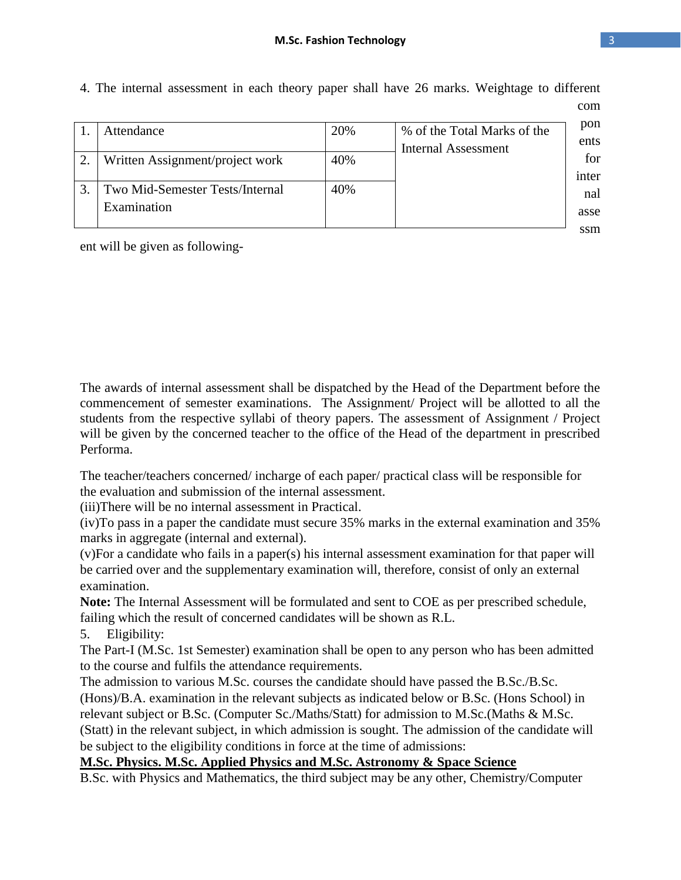|               | Attendance                                     | 20% | % of the Total Marks of the<br>Internal Assessment | pon<br>ents  |
|---------------|------------------------------------------------|-----|----------------------------------------------------|--------------|
| $\mathcal{D}$ | Written Assignment/project work                | 40% |                                                    | for<br>inter |
|               | Two Mid-Semester Tests/Internal<br>Examination | 40% |                                                    | nal<br>asse  |
|               |                                                |     |                                                    | ssm          |

4. The internal assessment in each theory paper shall have 26 marks. Weightage to different com

ent will be given as following-

The awards of internal assessment shall be dispatched by the Head of the Department before the commencement of semester examinations. The Assignment/ Project will be allotted to all the students from the respective syllabi of theory papers. The assessment of Assignment / Project will be given by the concerned teacher to the office of the Head of the department in prescribed Performa.

The teacher/teachers concerned/ incharge of each paper/ practical class will be responsible for the evaluation and submission of the internal assessment.

(iii)There will be no internal assessment in Practical.

(iv)To pass in a paper the candidate must secure 35% marks in the external examination and 35% marks in aggregate (internal and external).

(v)For a candidate who fails in a paper(s) his internal assessment examination for that paper will be carried over and the supplementary examination will, therefore, consist of only an external examination.

**Note:** The Internal Assessment will be formulated and sent to COE as per prescribed schedule, failing which the result of concerned candidates will be shown as R.L.

5. Eligibility:

The Part-I (M.Sc. 1st Semester) examination shall be open to any person who has been admitted to the course and fulfils the attendance requirements.

The admission to various M.Sc. courses the candidate should have passed the B.Sc./B.Sc.

(Hons)/B.A. examination in the relevant subjects as indicated below or B.Sc. (Hons School) in relevant subject or B.Sc. (Computer Sc./Maths/Statt) for admission to M.Sc.(Maths & M.Sc. (Statt) in the relevant subject, in which admission is sought. The admission of the candidate will be subject to the eligibility conditions in force at the time of admissions:

## **M.Sc. Physics. M.Sc. Applied Physics and M.Sc. Astronomy & Space Science**

B.Sc. with Physics and Mathematics, the third subject may be any other, Chemistry/Computer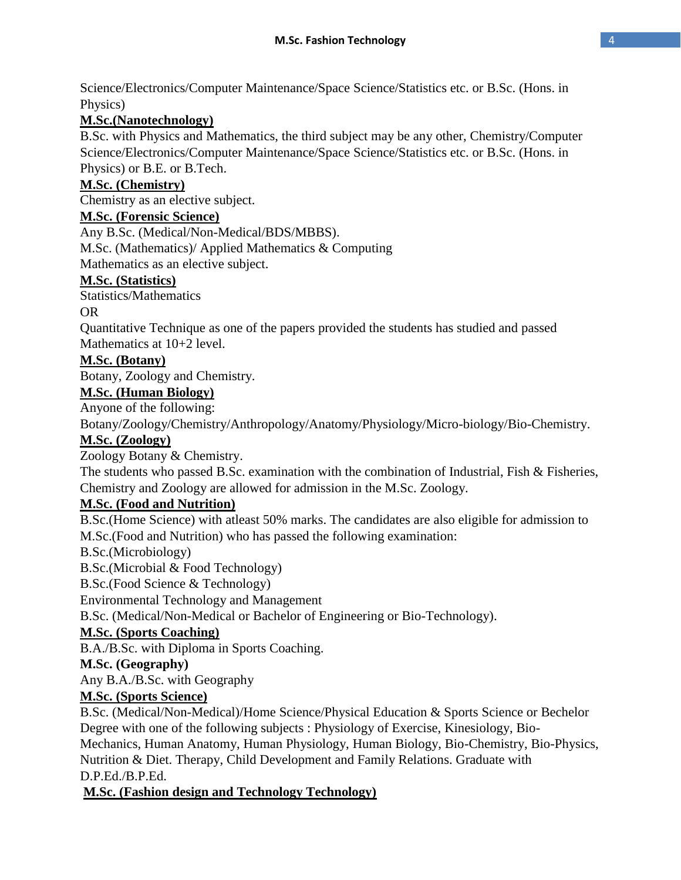Science/Electronics/Computer Maintenance/Space Science/Statistics etc. or B.Sc. (Hons. in Physics)

## **M.Sc.(Nanotechnology)**

B.Sc. with Physics and Mathematics, the third subject may be any other, Chemistry/Computer Science/Electronics/Computer Maintenance/Space Science/Statistics etc. or B.Sc. (Hons. in Physics) or B.E. or B.Tech.

## **M.Sc. (Chemistry)**

Chemistry as an elective subject.

## **M.Sc. (Forensic Science)**

Any B.Sc. (Medical/Non-Medical/BDS/MBBS).

M.Sc. (Mathematics)/ Applied Mathematics & Computing

Mathematics as an elective subject.

## **M.Sc. (Statistics)**

Statistics/Mathematics

## OR

Quantitative Technique as one of the papers provided the students has studied and passed Mathematics at 10+2 level.

## **M.Sc. (Botany)**

Botany, Zoology and Chemistry.

## **M.Sc. (Human Biology)**

Anyone of the following:

Botany/Zoology/Chemistry/Anthropology/Anatomy/Physiology/Micro-biology/Bio-Chemistry.

## **M.Sc. (Zoology)**

Zoology Botany & Chemistry.

The students who passed B.Sc. examination with the combination of Industrial, Fish & Fisheries, Chemistry and Zoology are allowed for admission in the M.Sc. Zoology.

## **M.Sc. (Food and Nutrition)**

B.Sc.(Home Science) with atleast 50% marks. The candidates are also eligible for admission to M.Sc.(Food and Nutrition) who has passed the following examination:

B.Sc.(Microbiology)

B.Sc.(Microbial & Food Technology)

B.Sc.(Food Science & Technology)

Environmental Technology and Management

B.Sc. (Medical/Non-Medical or Bachelor of Engineering or Bio-Technology).

## **M.Sc. (Sports Coaching)**

B.A./B.Sc. with Diploma in Sports Coaching.

## **M.Sc. (Geography)**

Any B.A./B.Sc. with Geography

## **M.Sc. (Sports Science)**

B.Sc. (Medical/Non-Medical)/Home Science/Physical Education & Sports Science or Bechelor Degree with one of the following subjects : Physiology of Exercise, Kinesiology, Bio-Mechanics, Human Anatomy, Human Physiology, Human Biology, Bio-Chemistry, Bio-Physics, Nutrition & Diet. Therapy, Child Development and Family Relations. Graduate with D.P.Ed./B.P.Ed.

# **M.Sc. (Fashion design and Technology Technology)**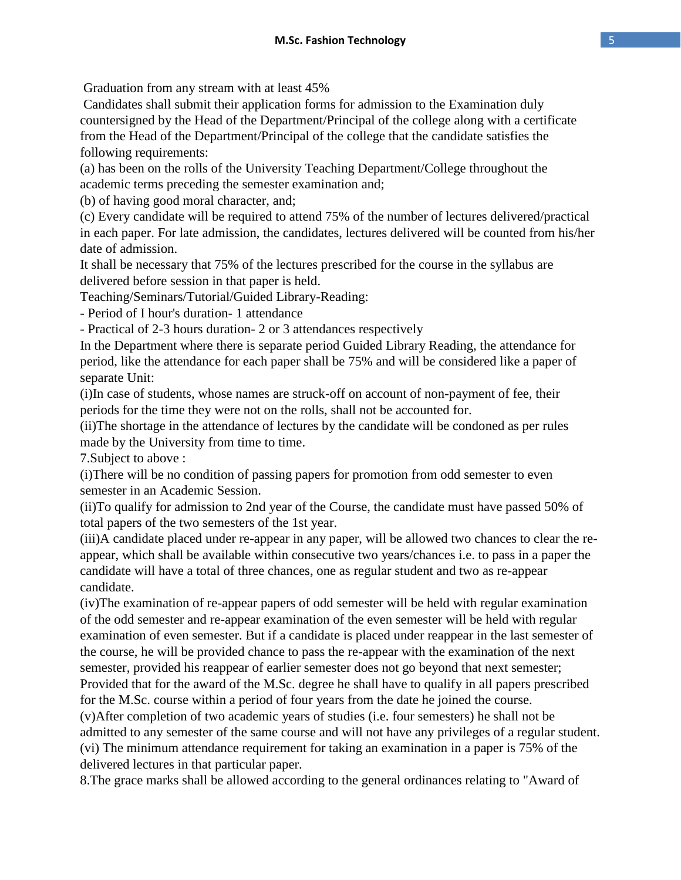Graduation from any stream with at least 45%

Candidates shall submit their application forms for admission to the Examination duly countersigned by the Head of the Department/Principal of the college along with a certificate from the Head of the Department/Principal of the college that the candidate satisfies the following requirements:

(a) has been on the rolls of the University Teaching Department/College throughout the academic terms preceding the semester examination and;

(b) of having good moral character, and;

(c) Every candidate will be required to attend 75% of the number of lectures delivered/practical in each paper. For late admission, the candidates, lectures delivered will be counted from his/her date of admission.

It shall be necessary that 75% of the lectures prescribed for the course in the syllabus are delivered before session in that paper is held.

Teaching/Seminars/Tutorial/Guided Library-Reading:

- Period of I hour's duration- 1 attendance

- Practical of 2-3 hours duration- 2 or 3 attendances respectively

In the Department where there is separate period Guided Library Reading, the attendance for period, like the attendance for each paper shall be 75% and will be considered like a paper of separate Unit:

(i)In case of students, whose names are struck-off on account of non-payment of fee, their periods for the time they were not on the rolls, shall not be accounted for.

(ii)The shortage in the attendance of lectures by the candidate will be condoned as per rules made by the University from time to time.

7.Subject to above :

(i)There will be no condition of passing papers for promotion from odd semester to even semester in an Academic Session.

(ii)To qualify for admission to 2nd year of the Course, the candidate must have passed 50% of total papers of the two semesters of the 1st year.

(iii)A candidate placed under re-appear in any paper, will be allowed two chances to clear the reappear, which shall be available within consecutive two years/chances i.e. to pass in a paper the candidate will have a total of three chances, one as regular student and two as re-appear candidate.

(iv)The examination of re-appear papers of odd semester will be held with regular examination of the odd semester and re-appear examination of the even semester will be held with regular examination of even semester. But if a candidate is placed under reappear in the last semester of the course, he will be provided chance to pass the re-appear with the examination of the next semester, provided his reappear of earlier semester does not go beyond that next semester; Provided that for the award of the M.Sc. degree he shall have to qualify in all papers prescribed for the M.Sc. course within a period of four years from the date he joined the course.

(v)After completion of two academic years of studies (i.e. four semesters) he shall not be admitted to any semester of the same course and will not have any privileges of a regular student. (vi) The minimum attendance requirement for taking an examination in a paper is 75% of the delivered lectures in that particular paper.

8.The grace marks shall be allowed according to the general ordinances relating to "Award of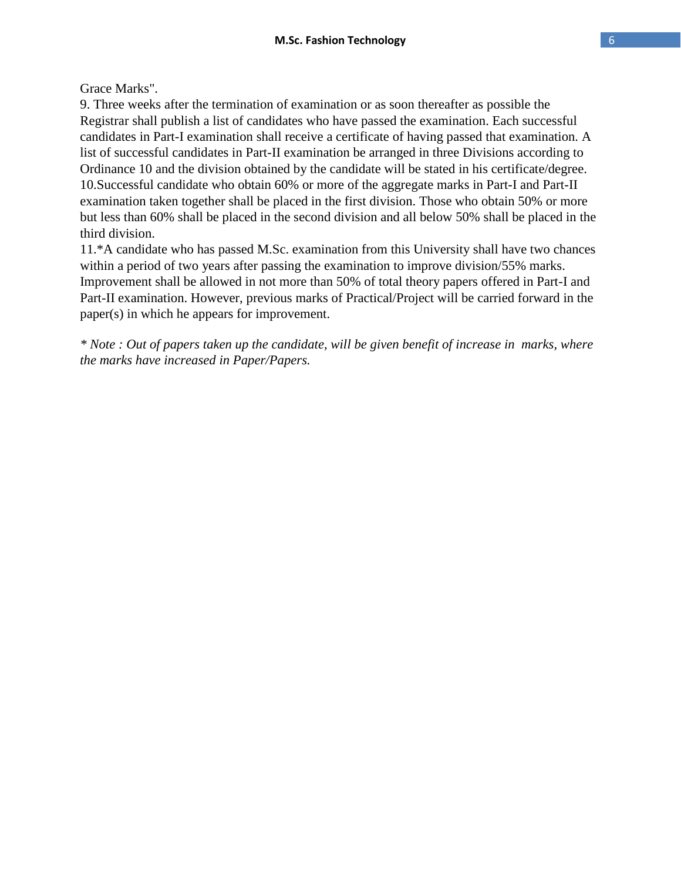Grace Marks".

9. Three weeks after the termination of examination or as soon thereafter as possible the Registrar shall publish a list of candidates who have passed the examination. Each successful candidates in Part-I examination shall receive a certificate of having passed that examination. A list of successful candidates in Part-II examination be arranged in three Divisions according to Ordinance 10 and the division obtained by the candidate will be stated in his certificate/degree. 10.Successful candidate who obtain 60% or more of the aggregate marks in Part-I and Part-II examination taken together shall be placed in the first division. Those who obtain 50% or more but less than 60% shall be placed in the second division and all below 50% shall be placed in the third division.

11.\*A candidate who has passed M.Sc. examination from this University shall have two chances within a period of two years after passing the examination to improve division/55% marks. Improvement shall be allowed in not more than 50% of total theory papers offered in Part-I and Part-II examination. However, previous marks of Practical/Project will be carried forward in the paper(s) in which he appears for improvement.

*\* Note : Out of papers taken up the candidate, will be given benefit of increase in marks, where the marks have increased in Paper/Papers.*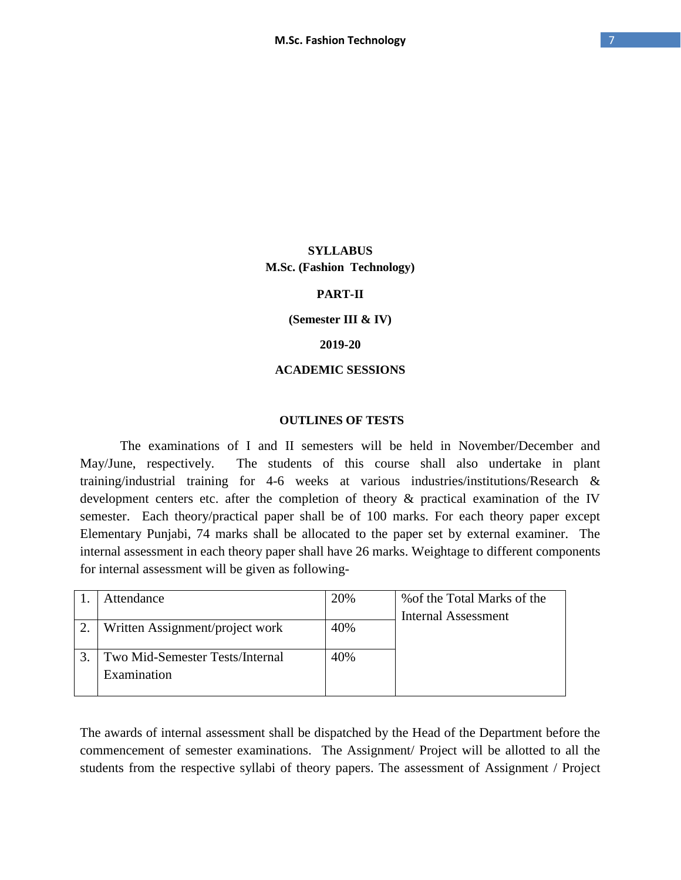### **SYLLABUS M.Sc. (Fashion Technology)**

#### **PART-II**

#### **(Semester III & IV)**

#### **2019-20**

#### **ACADEMIC SESSIONS**

#### **OUTLINES OF TESTS**

The examinations of I and II semesters will be held in November/December and May/June, respectively. The students of this course shall also undertake in plant training/industrial training for 4-6 weeks at various industries/institutions/Research & development centers etc. after the completion of theory & practical examination of the IV semester. Each theory/practical paper shall be of 100 marks. For each theory paper except Elementary Punjabi, 74 marks shall be allocated to the paper set by external examiner. The internal assessment in each theory paper shall have 26 marks. Weightage to different components for internal assessment will be given as following-

|    | Attendance                      | 20% | % of the Total Marks of the |
|----|---------------------------------|-----|-----------------------------|
|    |                                 |     | <b>Internal Assessment</b>  |
| 2. | Written Assignment/project work | 40% |                             |
|    |                                 |     |                             |
|    | Two Mid-Semester Tests/Internal | 40% |                             |
|    | Examination                     |     |                             |
|    |                                 |     |                             |

The awards of internal assessment shall be dispatched by the Head of the Department before the commencement of semester examinations. The Assignment/ Project will be allotted to all the students from the respective syllabi of theory papers. The assessment of Assignment / Project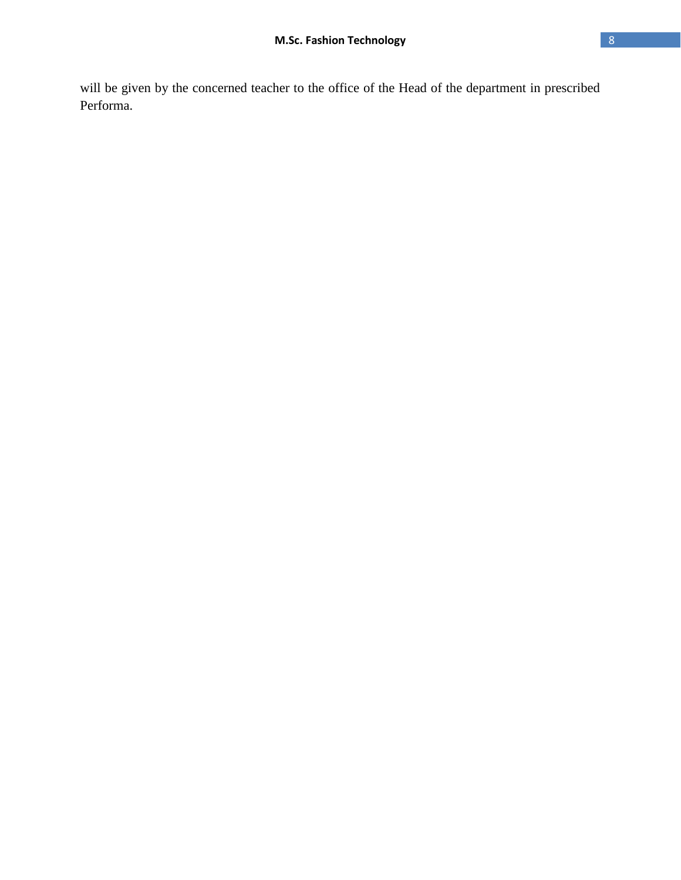will be given by the concerned teacher to the office of the Head of the department in prescribed Performa.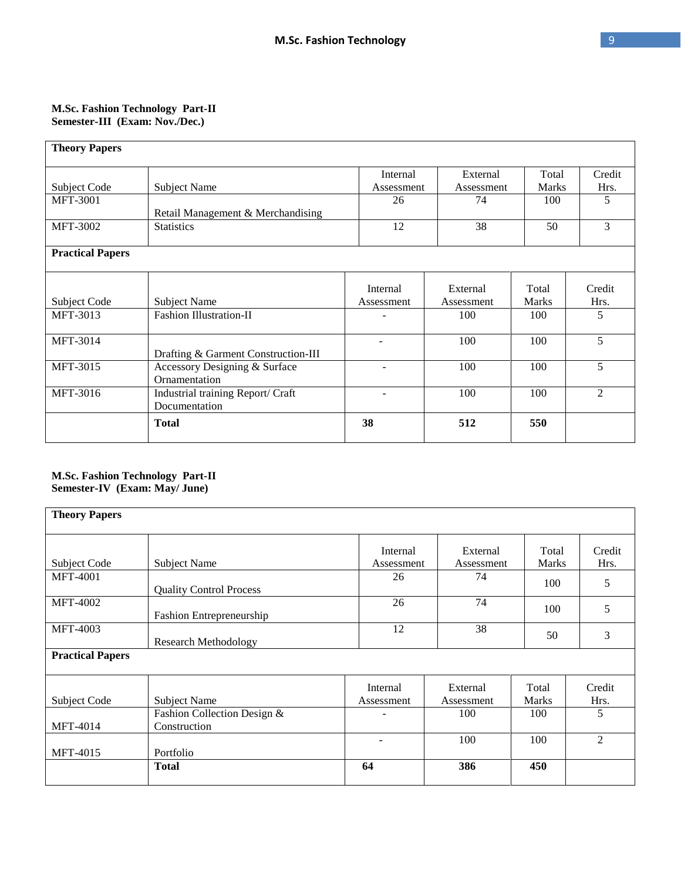#### **M.Sc. Fashion Technology Part-II Semester-III (Exam: Nov./Dec.)**

| <b>Theory Papers</b>    |                                                    |                          |                        |                       |                |  |
|-------------------------|----------------------------------------------------|--------------------------|------------------------|-----------------------|----------------|--|
| Subject Code            | <b>Subject Name</b>                                | Internal<br>Assessment   | External<br>Assessment | Total<br><b>Marks</b> | Credit<br>Hrs. |  |
| <b>MFT-3001</b>         | Retail Management & Merchandising                  | 26                       | 74                     | 100                   | 5              |  |
| <b>MFT-3002</b>         | <b>Statistics</b>                                  | 12                       | 38                     | 50                    | 3              |  |
| <b>Practical Papers</b> |                                                    |                          |                        |                       |                |  |
| Subject Code            | <b>Subject Name</b>                                | Internal<br>Assessment   | External<br>Assessment | Total<br><b>Marks</b> | Credit<br>Hrs. |  |
| MFT-3013                | <b>Fashion Illustration-II</b>                     |                          | 100                    | 100                   | 5              |  |
| <b>MFT-3014</b>         | Drafting & Garment Construction-III                | $\overline{\phantom{a}}$ | 100                    | 100                   | 5              |  |
| MFT-3015                | Accessory Designing & Surface<br>Ornamentation     |                          | 100                    | 100                   | 5              |  |
| MFT-3016                | Industrial training Report/ Craft<br>Documentation |                          | 100                    | 100                   | $\overline{2}$ |  |
|                         | <b>Total</b>                                       | 38                       | 512                    | 550                   |                |  |

#### **M.Sc. Fashion Technology Part-II Semester-IV (Exam: May/ June)**

| <b>Theory Papers</b>               |                                             |                          |                               |                              |                     |  |
|------------------------------------|---------------------------------------------|--------------------------|-------------------------------|------------------------------|---------------------|--|
| Subject Code                       | Subject Name                                | Internal<br>Assessment   | External<br>Assessment        | Total<br><b>Marks</b>        | Credit<br>Hrs.      |  |
| <b>MFT-4001</b>                    | <b>Quality Control Process</b>              | 26                       | 74                            | 100                          | 5                   |  |
| <b>MFT-4002</b>                    | Fashion Entrepreneurship                    | 26                       | 74                            | 100                          | 5                   |  |
| <b>MFT-4003</b>                    | <b>Research Methodology</b>                 | 12                       | 38                            | 50                           | 3                   |  |
| <b>Practical Papers</b>            |                                             |                          |                               |                              |                     |  |
| Subject Code                       | Subject Name<br>Fashion Collection Design & | Internal<br>Assessment   | External<br>Assessment<br>100 | Total<br><b>Marks</b><br>100 | Credit<br>Hrs.<br>5 |  |
| <b>MFT-4014</b><br><b>MFT-4015</b> | Construction<br>Portfolio                   | $\overline{\phantom{0}}$ | 100                           | 100                          | $\overline{2}$      |  |
|                                    | <b>Total</b>                                | 64                       | 386                           | 450                          |                     |  |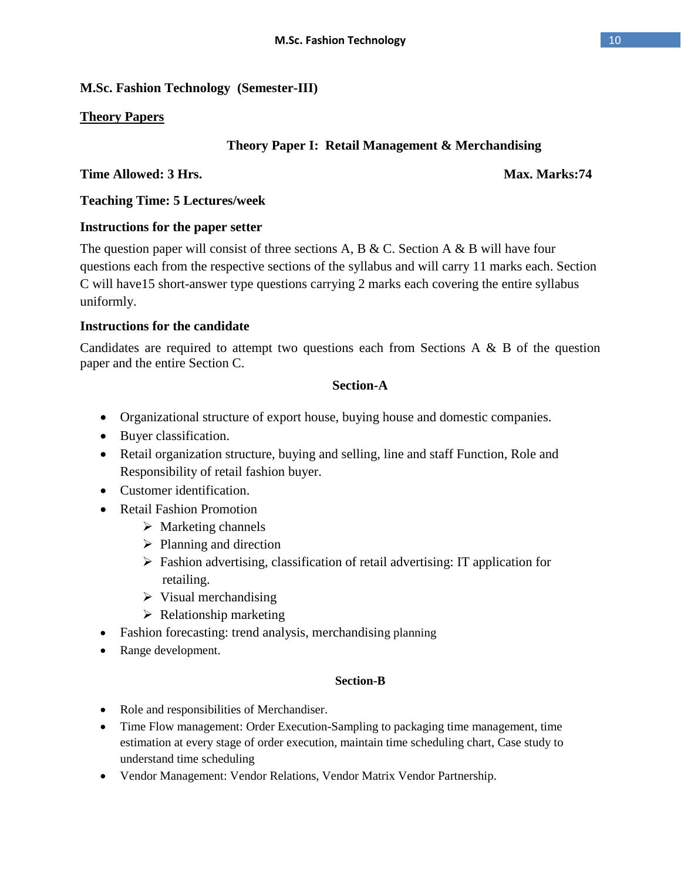# **M.Sc. Fashion Technology (Semester-III)**

# **Theory Papers**

## **Theory Paper I: Retail Management & Merchandising**

## **Time Allowed: 3 Hrs.** Max. Marks:74

**Teaching Time: 5 Lectures/week** 

## **Instructions for the paper setter**

The question paper will consist of three sections A, B & C. Section A & B will have four questions each from the respective sections of the syllabus and will carry 11 marks each. Section C will have15 short-answer type questions carrying 2 marks each covering the entire syllabus uniformly.

## **Instructions for the candidate**

Candidates are required to attempt two questions each from Sections A & B of the question paper and the entire Section C.

## **Section-A**

- Organizational structure of export house, buying house and domestic companies.
- Buyer classification.
- Retail organization structure, buying and selling, line and staff Function, Role and Responsibility of retail fashion buyer.
- Customer identification.
- Retail Fashion Promotion
	- $\triangleright$  Marketing channels
	- $\triangleright$  Planning and direction
	- $\triangleright$  Fashion advertising, classification of retail advertising: IT application for retailing.
	- $\triangleright$  Visual merchandising
	- $\triangleright$  Relationship marketing
- Fashion forecasting: trend analysis, merchandising planning
- Range development.

## **Section-B**

- Role and responsibilities of Merchandiser.
- Time Flow management: Order Execution-Sampling to packaging time management, time estimation at every stage of order execution, maintain time scheduling chart, Case study to understand time scheduling
- Vendor Management: Vendor Relations, Vendor Matrix Vendor Partnership.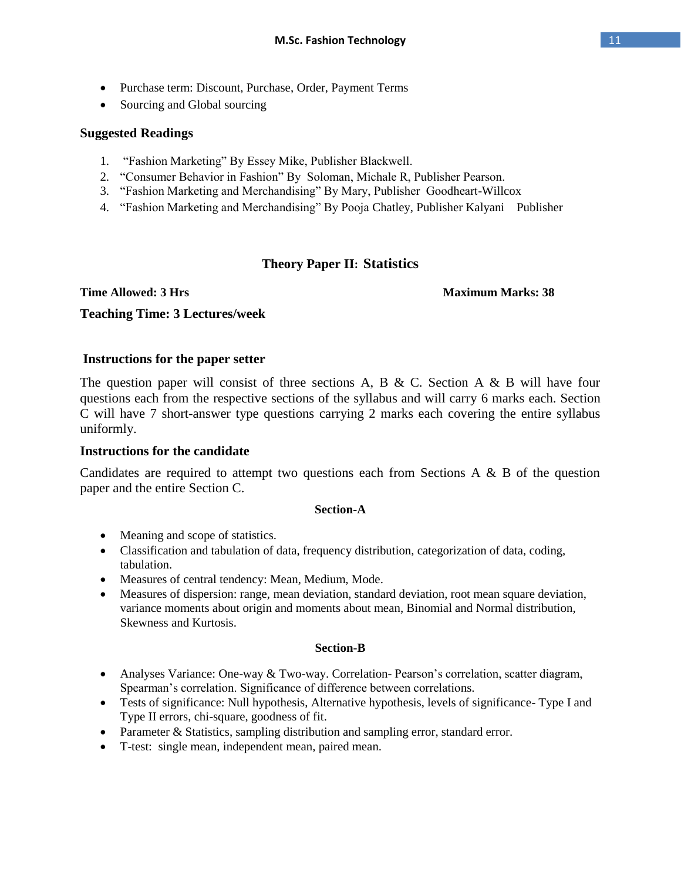- Purchase term: Discount, Purchase, Order, Payment Terms
- Sourcing and Global sourcing

#### **Suggested Readings**

- 1. "Fashion Marketing" By Essey Mike, Publisher Blackwell.
- 2. "Consumer Behavior in Fashion" By Soloman, Michale R, Publisher Pearson.
- 3. "Fashion Marketing and Merchandising" By Mary, Publisher Goodheart-Willcox
- 4. "Fashion Marketing and Merchandising" By Pooja Chatley, Publisher Kalyani Publisher

### **Theory Paper II: Statistics**

#### **Time Allowed: 3 Hrs** Maximum Marks: 38

### **Teaching Time: 3 Lectures/week**

#### **Instructions for the paper setter**

The question paper will consist of three sections A, B & C. Section A & B will have four questions each from the respective sections of the syllabus and will carry 6 marks each. Section C will have 7 short-answer type questions carrying 2 marks each covering the entire syllabus uniformly.

#### **Instructions for the candidate**

Candidates are required to attempt two questions each from Sections A & B of the question paper and the entire Section C.

#### **Section-A**

- Meaning and scope of statistics.
- Classification and tabulation of data, frequency distribution, categorization of data, coding, tabulation.
- Measures of central tendency: Mean, Medium, Mode.
- Measures of dispersion: range, mean deviation, standard deviation, root mean square deviation, variance moments about origin and moments about mean, Binomial and Normal distribution, Skewness and Kurtosis.

#### **Section-B**

- Analyses Variance: One-way & Two-way. Correlation- Pearson's correlation, scatter diagram, Spearman's correlation. Significance of difference between correlations.
- Tests of significance: Null hypothesis, Alternative hypothesis, levels of significance- Type I and Type II errors, chi-square, goodness of fit.
- Parameter & Statistics, sampling distribution and sampling error, standard error.
- T-test: single mean, independent mean, paired mean.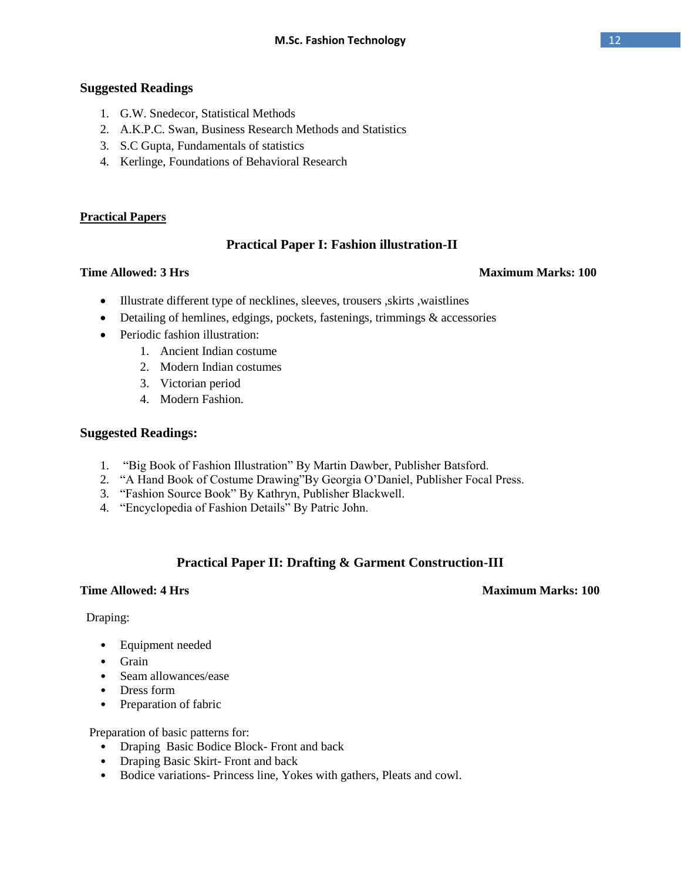### **Suggested Readings**

- 1. G.W. Snedecor, Statistical Methods
- 2. A.K.P.C. Swan, Business Research Methods and Statistics
- 3. S.C Gupta, Fundamentals of statistics
- 4. Kerlinge, Foundations of Behavioral Research

#### **Practical Papers**

### **Practical Paper I: Fashion illustration-II**

#### **Time Allowed: 3 Hrs** Maximum Marks: 100

- Illustrate different type of necklines, sleeves, trousers, skirts, waistlines
- Detailing of hemlines, edgings, pockets, fastenings, trimmings & accessories
- Periodic fashion illustration:
	- 1. Ancient Indian costume
	- 2. Modern Indian costumes
	- 3. Victorian period
	- 4. Modern Fashion.

#### **Suggested Readings:**

- 1. "Big Book of Fashion Illustration" By Martin Dawber, Publisher Batsford.
- 2. "A Hand Book of Costume Drawing"By Georgia O'Daniel, Publisher Focal Press.
- 3. "Fashion Source Book" By Kathryn, Publisher Blackwell.
- 4. "Encyclopedia of Fashion Details" By Patric John.

### **Practical Paper II: Drafting & Garment Construction-III**

#### **Time Allowed: 4 Hrs** Maximum Marks: 100

#### Draping:

- Equipment needed
- Grain
- Seam allowances/ease
- Dress form
- Preparation of fabric

Preparation of basic patterns for:

- Draping Basic Bodice Block- Front and back
- Draping Basic Skirt- Front and back
- Bodice variations- Princess line, Yokes with gathers, Pleats and cowl.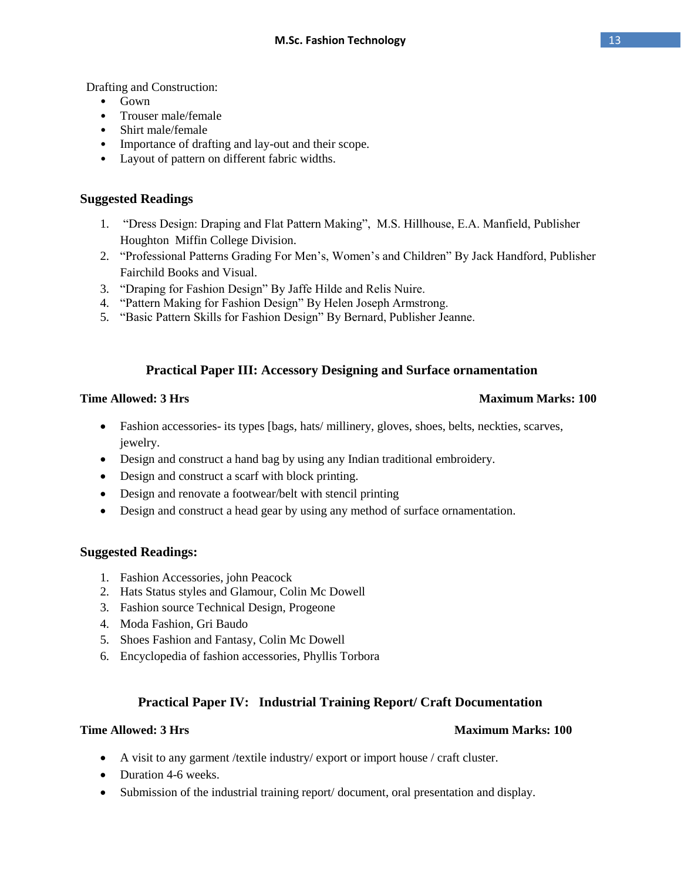Drafting and Construction:

- Gown
- Trouser male/female
- Shirt male/female
- Importance of drafting and lay-out and their scope.
- Layout of pattern on different fabric widths.

## **Suggested Readings**

- 1. "Dress Design: Draping and Flat Pattern Making", M.S. Hillhouse, E.A. Manfield, Publisher Houghton Miffin College Division.
- 2. "Professional Patterns Grading For Men's, Women's and Children" By Jack Handford, Publisher Fairchild Books and Visual.
- 3. "Draping for Fashion Design" By Jaffe Hilde and Relis Nuire.
- 4. "Pattern Making for Fashion Design" By Helen Joseph Armstrong.
- 5. "Basic Pattern Skills for Fashion Design" By Bernard, Publisher Jeanne.

## **Practical Paper III: Accessory Designing and Surface ornamentation**

#### **Time Allowed: 3 Hrs** Maximum Marks: 100

- Fashion accessories- its types [bags, hats/ millinery, gloves, shoes, belts, neckties, scarves, jewelry.
- Design and construct a hand bag by using any Indian traditional embroidery.
- Design and construct a scarf with block printing.
- Design and renovate a footwear/belt with stencil printing
- Design and construct a head gear by using any method of surface ornamentation.

### **Suggested Readings:**

- 1. Fashion Accessories, john Peacock
- 2. Hats Status styles and Glamour, Colin Mc Dowell
- 3. Fashion source Technical Design, Progeone
- 4. Moda Fashion, Gri Baudo
- 5. Shoes Fashion and Fantasy, Colin Mc Dowell
- 6. Encyclopedia of fashion accessories, Phyllis Torbora

## **Practical Paper IV: Industrial Training Report/ Craft Documentation**

### **Time Allowed: 3 Hrs** Maximum Marks: 100

- A visit to any garment /textile industry/ export or import house / craft cluster.
- Duration 4-6 weeks.
- Submission of the industrial training report/ document, oral presentation and display.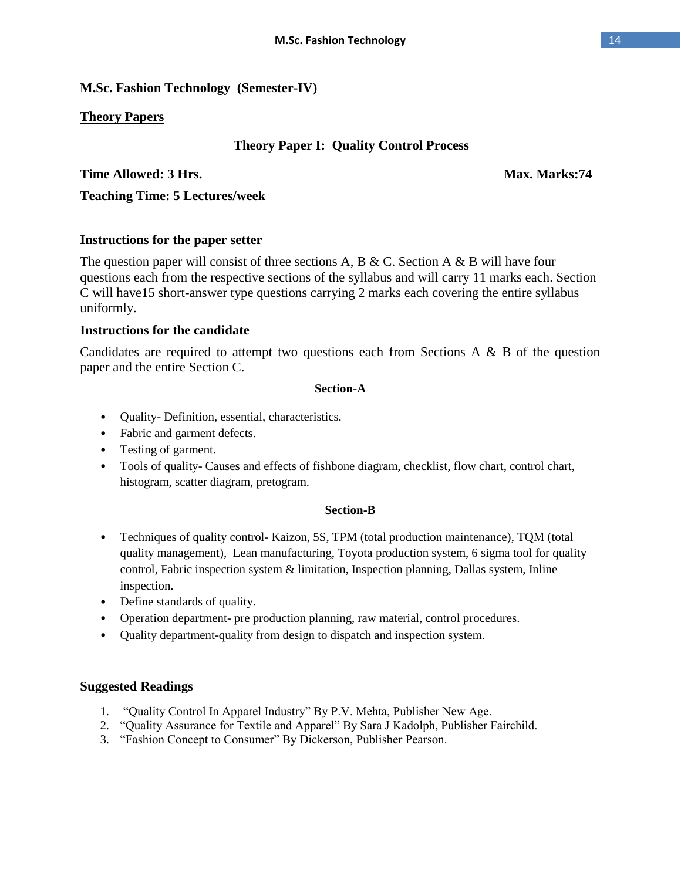## **M.Sc. Fashion Technology (Semester-IV)**

## **Theory Papers**

## **Theory Paper I: Quality Control Process**

## **Time Allowed: 3 Hrs.** Max. Marks:74

**Teaching Time: 5 Lectures/week** 

## **Instructions for the paper setter**

The question paper will consist of three sections A, B & C. Section A & B will have four questions each from the respective sections of the syllabus and will carry 11 marks each. Section C will have15 short-answer type questions carrying 2 marks each covering the entire syllabus uniformly.

### **Instructions for the candidate**

Candidates are required to attempt two questions each from Sections A & B of the question paper and the entire Section C.

#### **Section-A**

- Quality- Definition, essential, characteristics.
- Fabric and garment defects.
- Testing of garment.
- Tools of quality- Causes and effects of fishbone diagram, checklist, flow chart, control chart, histogram, scatter diagram, pretogram.

### **Section-B**

- Techniques of quality control- Kaizon, 5S, TPM (total production maintenance), TQM (total quality management), Lean manufacturing, Toyota production system, 6 sigma tool for quality control, Fabric inspection system & limitation, Inspection planning, Dallas system, Inline inspection.
- Define standards of quality.
- Operation department- pre production planning, raw material, control procedures.
- Quality department-quality from design to dispatch and inspection system.

### **Suggested Readings**

- 1. "Quality Control In Apparel Industry" By P.V. Mehta, Publisher New Age.
- 2. "Quality Assurance for Textile and Apparel" By Sara J Kadolph, Publisher Fairchild.
- 3. "Fashion Concept to Consumer" By Dickerson, Publisher Pearson.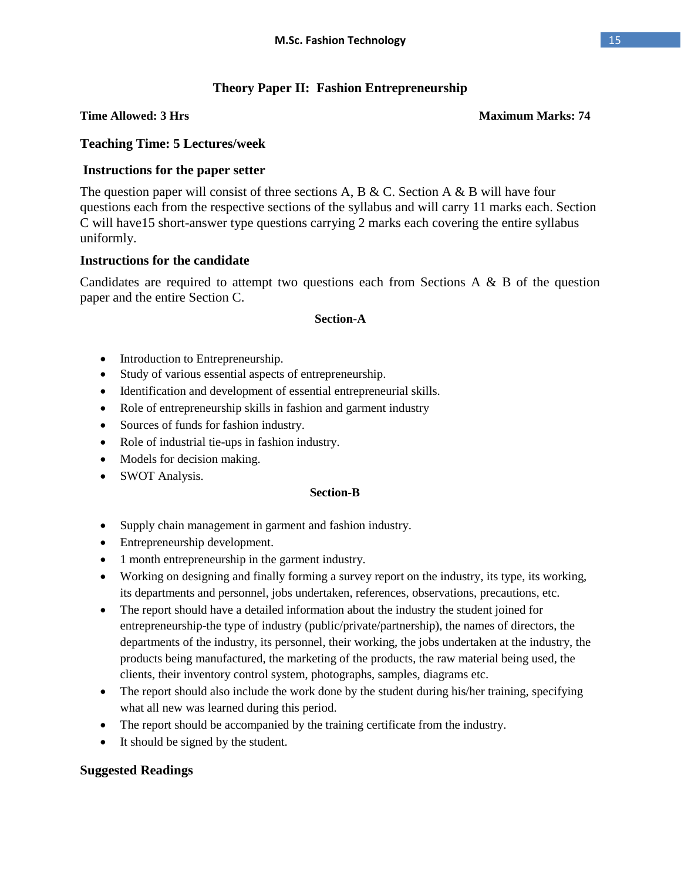## **Theory Paper II: Fashion Entrepreneurship**

#### **Time Allowed: 3 Hrs** Maximum Marks: 74

## **Teaching Time: 5 Lectures/week**

## **Instructions for the paper setter**

The question paper will consist of three sections A, B & C. Section A & B will have four questions each from the respective sections of the syllabus and will carry 11 marks each. Section C will have15 short-answer type questions carrying 2 marks each covering the entire syllabus uniformly.

### **Instructions for the candidate**

Candidates are required to attempt two questions each from Sections A & B of the question paper and the entire Section C.

#### **Section-A**

- Introduction to Entrepreneurship.
- Study of various essential aspects of entrepreneurship.
- Identification and development of essential entrepreneurial skills.
- Role of entrepreneurship skills in fashion and garment industry
- Sources of funds for fashion industry.
- Role of industrial tie-ups in fashion industry.
- Models for decision making.
- SWOT Analysis.

#### **Section-B**

- Supply chain management in garment and fashion industry.
- Entrepreneurship development.
- 1 month entrepreneurship in the garment industry.
- Working on designing and finally forming a survey report on the industry, its type, its working, its departments and personnel, jobs undertaken, references, observations, precautions, etc.
- The report should have a detailed information about the industry the student joined for entrepreneurship-the type of industry (public/private/partnership), the names of directors, the departments of the industry, its personnel, their working, the jobs undertaken at the industry, the products being manufactured, the marketing of the products, the raw material being used, the clients, their inventory control system, photographs, samples, diagrams etc.
- The report should also include the work done by the student during his/her training, specifying what all new was learned during this period.
- The report should be accompanied by the training certificate from the industry.
- It should be signed by the student.

### **Suggested Readings**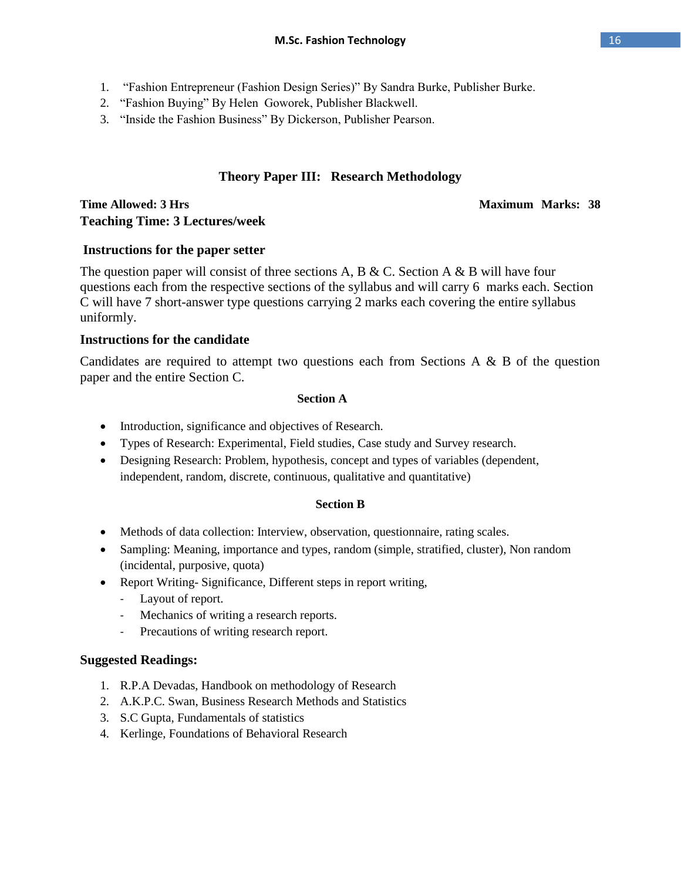- 1. "Fashion Entrepreneur (Fashion Design Series)" By Sandra Burke, Publisher Burke.
- 2. "Fashion Buying" By Helen Goworek, Publisher Blackwell.
- 3. "Inside the Fashion Business" By Dickerson, Publisher Pearson.

# **Theory Paper III: Research Methodology**

## **Time Allowed: 3 Hrs** Maximum Marks: 38 **Teaching Time: 3 Lectures/week**

## **Instructions for the paper setter**

The question paper will consist of three sections A, B & C. Section A & B will have four questions each from the respective sections of the syllabus and will carry 6 marks each. Section C will have 7 short-answer type questions carrying 2 marks each covering the entire syllabus uniformly.

## **Instructions for the candidate**

Candidates are required to attempt two questions each from Sections A & B of the question paper and the entire Section C.

#### **Section A**

- Introduction, significance and objectives of Research.
- Types of Research: Experimental, Field studies, Case study and Survey research.
- Designing Research: Problem, hypothesis, concept and types of variables (dependent, independent, random, discrete, continuous, qualitative and quantitative)

### **Section B**

- Methods of data collection: Interview, observation, questionnaire, rating scales.
- Sampling: Meaning, importance and types, random (simple, stratified, cluster), Non random (incidental, purposive, quota)
- Report Writing-Significance, Different steps in report writing,
	- Layout of report.
	- Mechanics of writing a research reports.
	- Precautions of writing research report.

# **Suggested Readings:**

- 1. R.P.A Devadas, Handbook on methodology of Research
- 2. A.K.P.C. Swan, Business Research Methods and Statistics
- 3. S.C Gupta, Fundamentals of statistics
- 4. Kerlinge, Foundations of Behavioral Research